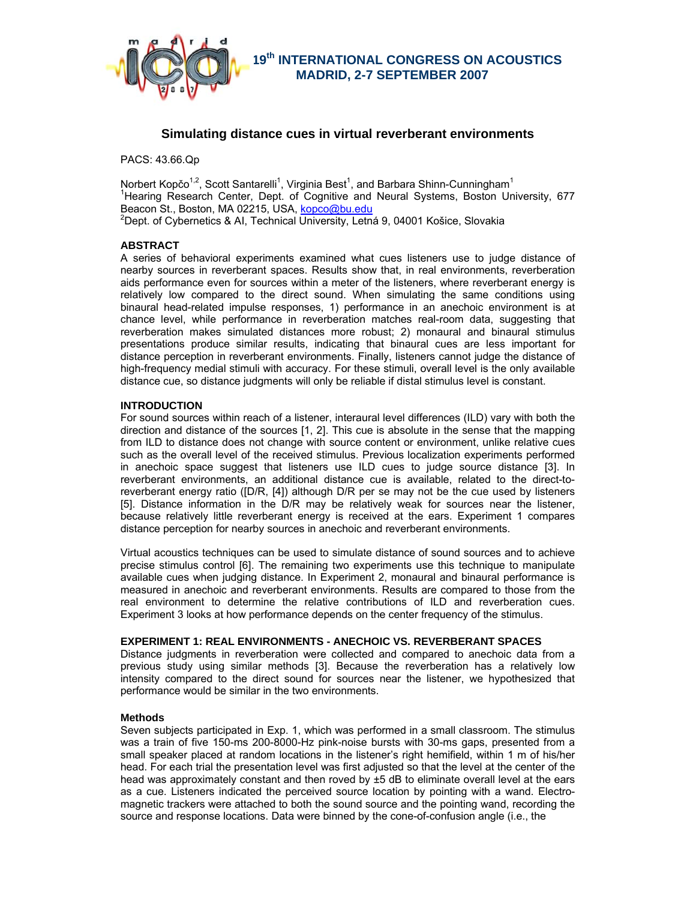

# **Simulating distance cues in virtual reverberant environments**

PACS: 43.66.Qp

Norbert Kopčo<sup>1,2</sup>, Scott Santarelli<sup>1</sup>, Virginia Best<sup>1</sup>, and Barbara Shinn-Cunningham<sup>1</sup> <sup>1</sup>Hearing Research Center, Dept. of Cognitive and Neural Systems, Boston University, 677 Beacon St., Boston, MA 02215, USA, kopco@bu.edu  $2$ Dept. of Cybernetics & AI, Technical University, Letná 9, 04001 Košice, Slovakia

# **ABSTRACT**

A series of behavioral experiments examined what cues listeners use to judge distance of nearby sources in reverberant spaces. Results show that, in real environments, reverberation aids performance even for sources within a meter of the listeners, where reverberant energy is relatively low compared to the direct sound. When simulating the same conditions using binaural head-related impulse responses, 1) performance in an anechoic environment is at chance level, while performance in reverberation matches real-room data, suggesting that reverberation makes simulated distances more robust; 2) monaural and binaural stimulus presentations produce similar results, indicating that binaural cues are less important for distance perception in reverberant environments. Finally, listeners cannot judge the distance of high-frequency medial stimuli with accuracy. For these stimuli, overall level is the only available distance cue, so distance judgments will only be reliable if distal stimulus level is constant.

# **INTRODUCTION**

For sound sources within reach of a listener, interaural level differences (ILD) vary with both the direction and distance of the sources [1, 2]. This cue is absolute in the sense that the mapping from ILD to distance does not change with source content or environment, unlike relative cues such as the overall level of the received stimulus. Previous localization experiments performed in anechoic space suggest that listeners use ILD cues to judge source distance [3]. In reverberant environments, an additional distance cue is available, related to the direct-toreverberant energy ratio ([D/R, [4]) although D/R per se may not be the cue used by listeners [5]. Distance information in the D/R may be relatively weak for sources near the listener, because relatively little reverberant energy is received at the ears. Experiment 1 compares distance perception for nearby sources in anechoic and reverberant environments.

Virtual acoustics techniques can be used to simulate distance of sound sources and to achieve precise stimulus control [6]. The remaining two experiments use this technique to manipulate available cues when judging distance. In Experiment 2, monaural and binaural performance is measured in anechoic and reverberant environments. Results are compared to those from the real environment to determine the relative contributions of ILD and reverberation cues. Experiment 3 looks at how performance depends on the center frequency of the stimulus.

# **EXPERIMENT 1: REAL ENVIRONMENTS - ANECHOIC VS. REVERBERANT SPACES**

Distance judgments in reverberation were collected and compared to anechoic data from a previous study using similar methods [3]. Because the reverberation has a relatively low intensity compared to the direct sound for sources near the listener, we hypothesized that performance would be similar in the two environments.

### **Methods**

Seven subjects participated in Exp. 1, which was performed in a small classroom. The stimulus was a train of five 150-ms 200-8000-Hz pink-noise bursts with 30-ms gaps, presented from a small speaker placed at random locations in the listener's right hemifield, within 1 m of his/her head. For each trial the presentation level was first adjusted so that the level at the center of the head was approximately constant and then roved by  $\pm 5$  dB to eliminate overall level at the ears as a cue. Listeners indicated the perceived source location by pointing with a wand. Electromagnetic trackers were attached to both the sound source and the pointing wand, recording the source and response locations. Data were binned by the cone-of-confusion angle (i.e., the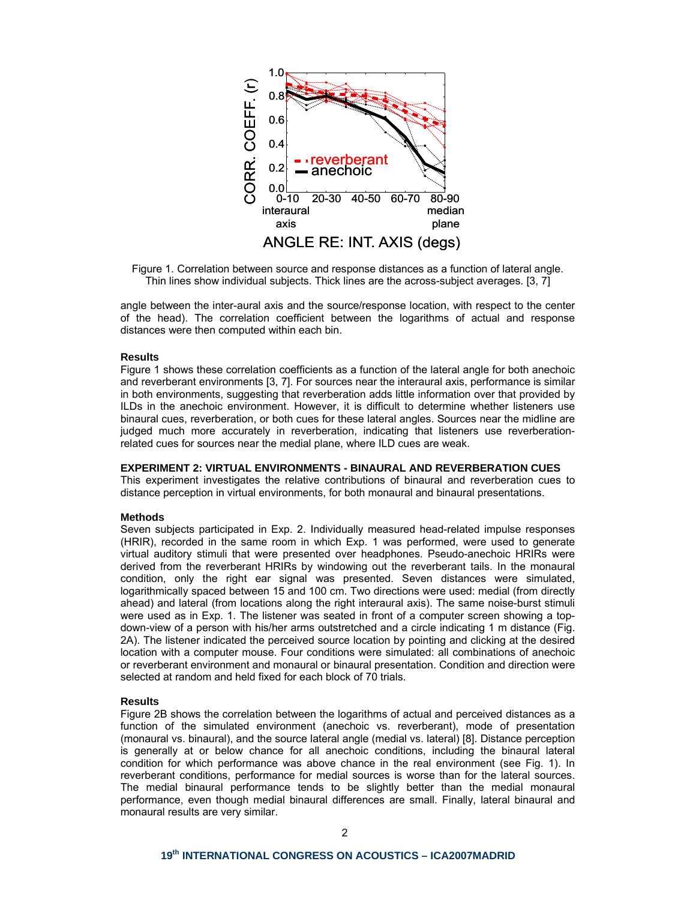

Figure 1. Correlation between source and response distances as a function of lateral angle. Thin lines show individual subjects. Thick lines are the across-subject averages. [3, 7]

angle between the inter-aural axis and the source/response location, with respect to the center of the head). The correlation coefficient between the logarithms of actual and response distances were then computed within each bin.

## **Results**

Figure 1 shows these correlation coefficients as a function of the lateral angle for both anechoic and reverberant environments [3, 7]. For sources near the interaural axis, performance is similar in both environments, suggesting that reverberation adds little information over that provided by ILDs in the anechoic environment. However, it is difficult to determine whether listeners use binaural cues, reverberation, or both cues for these lateral angles. Sources near the midline are judged much more accurately in reverberation, indicating that listeners use reverberationrelated cues for sources near the medial plane, where ILD cues are weak.

### **EXPERIMENT 2: VIRTUAL ENVIRONMENTS - BINAURAL AND REVERBERATION CUES**

This experiment investigates the relative contributions of binaural and reverberation cues to distance perception in virtual environments, for both monaural and binaural presentations.

#### **Methods**

Seven subjects participated in Exp. 2. Individually measured head-related impulse responses (HRIR), recorded in the same room in which Exp. 1 was performed, were used to generate virtual auditory stimuli that were presented over headphones. Pseudo-anechoic HRIRs were derived from the reverberant HRIRs by windowing out the reverberant tails. In the monaural condition, only the right ear signal was presented. Seven distances were simulated, logarithmically spaced between 15 and 100 cm. Two directions were used: medial (from directly ahead) and lateral (from locations along the right interaural axis). The same noise-burst stimuli were used as in Exp. 1. The listener was seated in front of a computer screen showing a topdown-view of a person with his/her arms outstretched and a circle indicating 1 m distance (Fig. 2A). The listener indicated the perceived source location by pointing and clicking at the desired location with a computer mouse. Four conditions were simulated: all combinations of anechoic or reverberant environment and monaural or binaural presentation. Condition and direction were selected at random and held fixed for each block of 70 trials.

#### **Results**

Figure 2B shows the correlation between the logarithms of actual and perceived distances as a function of the simulated environment (anechoic vs. reverberant), mode of presentation (monaural vs. binaural), and the source lateral angle (medial vs. lateral) [8]. Distance perception is generally at or below chance for all anechoic conditions, including the binaural lateral condition for which performance was above chance in the real environment (see Fig. 1). In reverberant conditions, performance for medial sources is worse than for the lateral sources. The medial binaural performance tends to be slightly better than the medial monaural performance, even though medial binaural differences are small. Finally, lateral binaural and monaural results are very similar.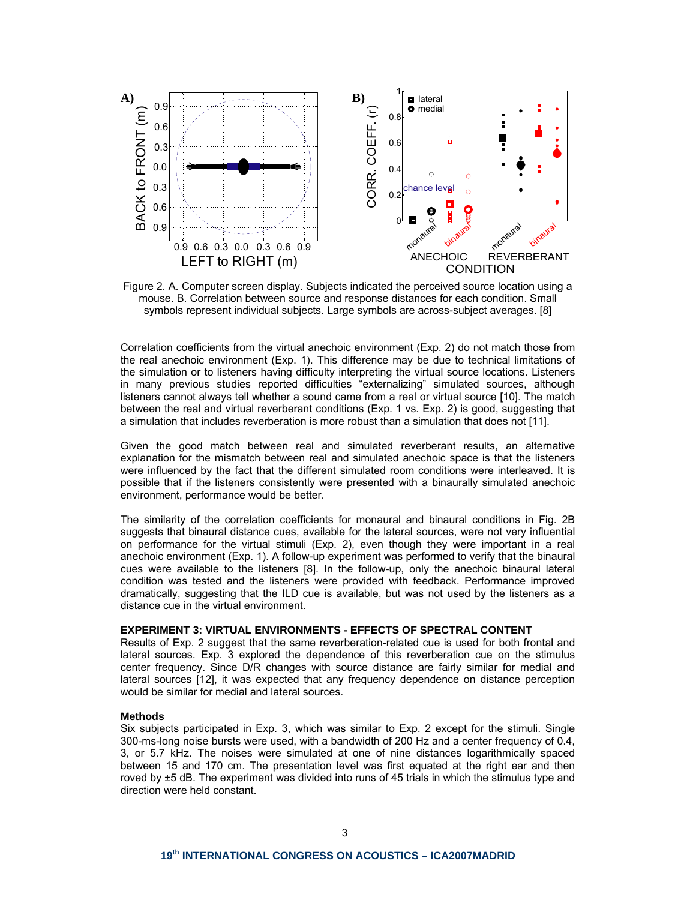

Figure 2. A. Computer screen display. Subjects indicated the perceived source location using a mouse. B. Correlation between source and response distances for each condition. Small symbols represent individual subjects. Large symbols are across-subject averages. [8]

Correlation coefficients from the virtual anechoic environment (Exp. 2) do not match those from the real anechoic environment (Exp. 1). This difference may be due to technical limitations of the simulation or to listeners having difficulty interpreting the virtual source locations. Listeners in many previous studies reported difficulties "externalizing" simulated sources, although listeners cannot always tell whether a sound came from a real or virtual source [10]. The match between the real and virtual reverberant conditions (Exp. 1 vs. Exp. 2) is good, suggesting that a simulation that includes reverberation is more robust than a simulation that does not [11].

Given the good match between real and simulated reverberant results, an alternative explanation for the mismatch between real and simulated anechoic space is that the listeners were influenced by the fact that the different simulated room conditions were interleaved. It is possible that if the listeners consistently were presented with a binaurally simulated anechoic environment, performance would be better.

The similarity of the correlation coefficients for monaural and binaural conditions in Fig. 2B suggests that binaural distance cues, available for the lateral sources, were not very influential on performance for the virtual stimuli (Exp. 2), even though they were important in a real anechoic environment (Exp. 1). A follow-up experiment was performed to verify that the binaural cues were available to the listeners [8]. In the follow-up, only the anechoic binaural lateral condition was tested and the listeners were provided with feedback. Performance improved dramatically, suggesting that the ILD cue is available, but was not used by the listeners as a distance cue in the virtual environment.

# **EXPERIMENT 3: VIRTUAL ENVIRONMENTS - EFFECTS OF SPECTRAL CONTENT**

Results of Exp. 2 suggest that the same reverberation-related cue is used for both frontal and lateral sources. Exp. 3 explored the dependence of this reverberation cue on the stimulus center frequency. Since D/R changes with source distance are fairly similar for medial and lateral sources [12], it was expected that any frequency dependence on distance perception would be similar for medial and lateral sources.

#### **Methods**

Six subjects participated in Exp. 3, which was similar to Exp. 2 except for the stimuli. Single 300-ms-long noise bursts were used, with a bandwidth of 200 Hz and a center frequency of 0.4, 3, or 5.7 kHz. The noises were simulated at one of nine distances logarithmically spaced between 15 and 170 cm. The presentation level was first equated at the right ear and then roved by ±5 dB. The experiment was divided into runs of 45 trials in which the stimulus type and direction were held constant.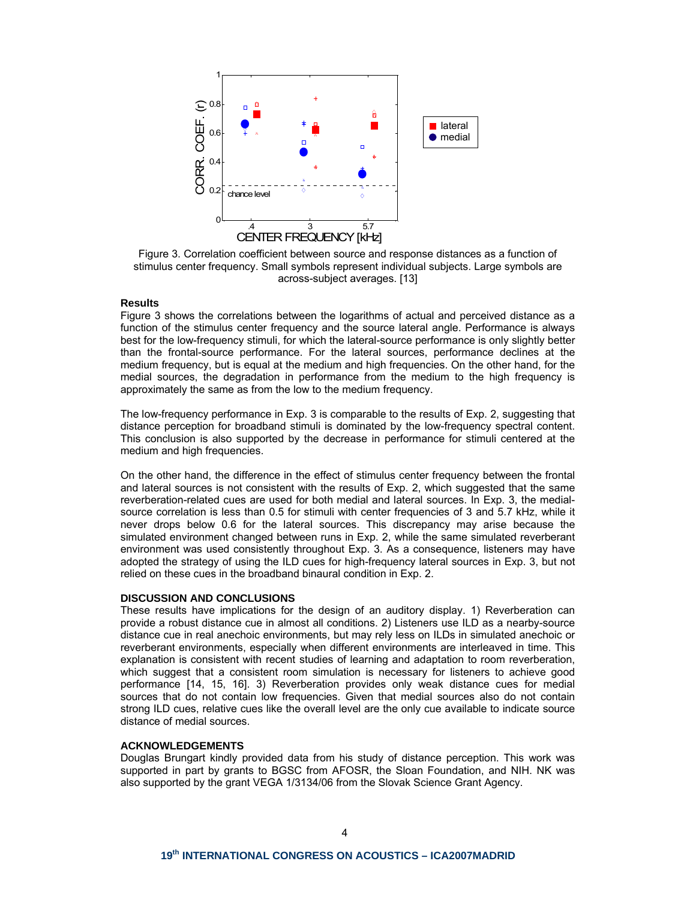

Figure 3. Correlation coefficient between source and response distances as a function of stimulus center frequency. Small symbols represent individual subjects. Large symbols are across-subject averages. [13]

## **Results**

Figure 3 shows the correlations between the logarithms of actual and perceived distance as a function of the stimulus center frequency and the source lateral angle. Performance is always best for the low-frequency stimuli, for which the lateral-source performance is only slightly better than the frontal-source performance. For the lateral sources, performance declines at the medium frequency, but is equal at the medium and high frequencies. On the other hand, for the medial sources, the degradation in performance from the medium to the high frequency is approximately the same as from the low to the medium frequency.

The low-frequency performance in Exp. 3 is comparable to the results of Exp. 2, suggesting that distance perception for broadband stimuli is dominated by the low-frequency spectral content. This conclusion is also supported by the decrease in performance for stimuli centered at the medium and high frequencies.

On the other hand, the difference in the effect of stimulus center frequency between the frontal and lateral sources is not consistent with the results of Exp. 2, which suggested that the same reverberation-related cues are used for both medial and lateral sources. In Exp. 3, the medialsource correlation is less than 0.5 for stimuli with center frequencies of 3 and 5.7 kHz, while it never drops below 0.6 for the lateral sources. This discrepancy may arise because the simulated environment changed between runs in Exp. 2, while the same simulated reverberant environment was used consistently throughout Exp. 3. As a consequence, listeners may have adopted the strategy of using the ILD cues for high-frequency lateral sources in Exp. 3, but not relied on these cues in the broadband binaural condition in Exp. 2.

### **DISCUSSION AND CONCLUSIONS**

These results have implications for the design of an auditory display. 1) Reverberation can provide a robust distance cue in almost all conditions. 2) Listeners use ILD as a nearby-source distance cue in real anechoic environments, but may rely less on ILDs in simulated anechoic or reverberant environments, especially when different environments are interleaved in time. This explanation is consistent with recent studies of learning and adaptation to room reverberation, which suggest that a consistent room simulation is necessary for listeners to achieve good performance [14, 15, 16]. 3) Reverberation provides only weak distance cues for medial sources that do not contain low frequencies. Given that medial sources also do not contain strong ILD cues, relative cues like the overall level are the only cue available to indicate source distance of medial sources.

### **ACKNOWLEDGEMENTS**

Douglas Brungart kindly provided data from his study of distance perception. This work was supported in part by grants to BGSC from AFOSR, the Sloan Foundation, and NIH. NK was also supported by the grant VEGA 1/3134/06 from the Slovak Science Grant Agency.